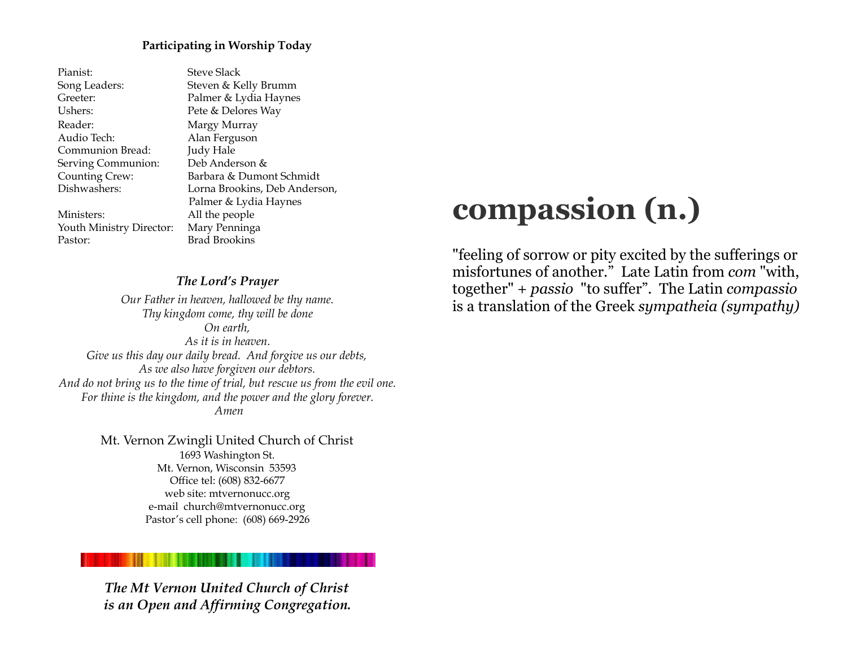#### **Participating in Worship Today**

Pianist: Steve Slack Song Leaders: Steven & Kelly Brumm Greeter: Palmer & Lydia Haynes Ushers: Pete & Delores Way Reader: Margy Murray Audio Tech: Alan Ferguson Communion Bread: Judy Hale Serving Communion: Deb Anderson & Counting Crew: Barbara & Dumont Schmidt Dishwashers: Lorna Brookins, Deb Anderson, Palmer & Lydia Haynes Ministers: All the people Youth Ministry Director: Mary Penninga Pastor: Brad Brookins

#### *The Lord's Prayer*

*Our Father in heaven, hallowed be thy name. Thy kingdom come, thy will be done On earth, As it is in heaven. Give us this day our daily bread. And forgive us our debts, As we also have forgiven our debtors. And do not bring us to the time of trial, but rescue us from the evil one. For thine is the kingdom, and the power and the glory forever. Amen*

> Mt. Vernon Zwingli United Church of Christ 1693 Washington St. Mt. Vernon, Wisconsin 53593 Office tel: (608) 832-6677 web site: mtvernonucc.org e-mail church@mtvernonucc.org Pastor's cell phone: (608) 669-2926

## *The Mt Vernon United Church of Christ is an Open and Affirming Congregation.*

# **compassion (n.)**

"feeling of sorrow or pity excited by the sufferings or misfortunes of another." Late Latin from *com* "with, together" + *passio* "to suffer". The Latin *compassio* is a translation of the Greek *sympatheia (sympathy)*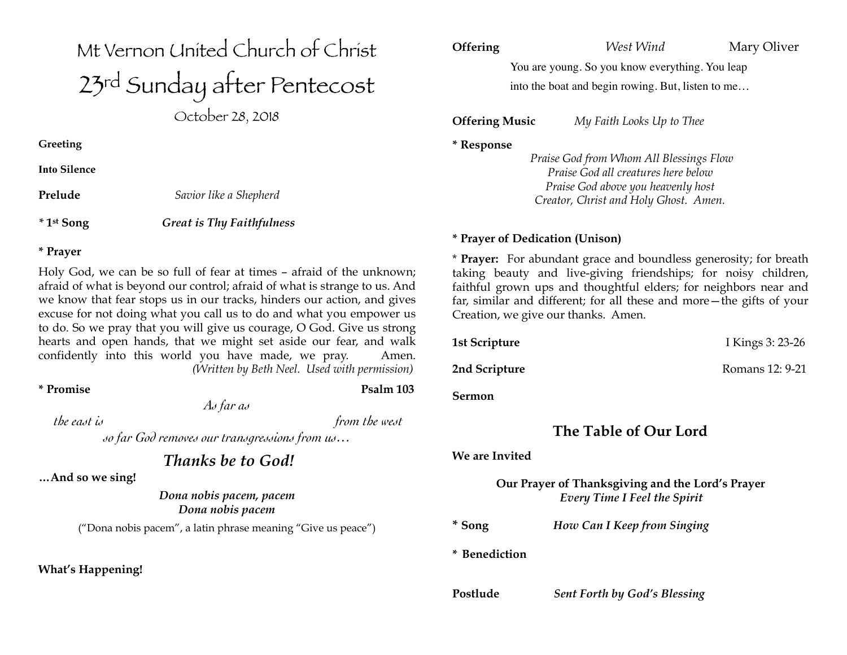# Mt Vernon United Church of Christ 23rd Sunday after Pentecost

October 28, 2018

**Greeting** 

**Into Silence** 

**Prelude** *Savior like a Shepherd* 

*\** **1st Song** *Great is Thy Faithfulness* 

#### **\* Prayer**

Holy God, we can be so full of fear at times – afraid of the unknown; afraid of what is beyond our control; afraid of what is strange to us. And we know that fear stops us in our tracks, hinders our action, and gives excuse for not doing what you call us to do and what you empower us to do. So we pray that you will give us courage, O God. Give us strong hearts and open hands, that we might set aside our fear, and walk confidently into this world you have made, we pray. Amen. *(Written by Beth Neel. Used with permission)*

**\* Promise Psalm 103** 

*As far as* 

 *the east is from the west*

*so far God removes our transgressions from us…*

*Thanks be to God!*

**…And so we sing!** 

*Dona nobis pacem, pacem Dona nobis pacem*

("Dona nobis pacem", a latin phrase meaning "Give us peace")

**What's Happening!** 

# **Offering** *West Wind* **Mary Oliver**

You are young. So you know everything. You leap into the boat and begin rowing. But, listen to me…

**Offering Music** *My Faith Looks Up to Thee*

**\* Response** 

 *Praise God from Whom All Blessings Flow Praise God all creatures here below Praise God above you heavenly host Creator, Christ and Holy Ghost. Amen.*

#### **\* Prayer of Dedication (Unison)**

\* **Prayer:** For abundant grace and boundless generosity; for breath taking beauty and live-giving friendships; for noisy children, faithful grown ups and thoughtful elders; for neighbors near and far, similar and different; for all these and more—the gifts of your Creation, we give our thanks. Amen.

**1st Scripture** I Kings 3: 23-26 **2nd Scripture Romans 12: 9-21** 

**Sermon**

# **The Table of Our Lord**

#### **We are Invited**

**Our Prayer of Thanksgiving and the Lord's Prayer**  *Every Time I Feel the Spirit* 

**\* Song** *How Can I Keep from Singing*

**\* Benediction** 

**Postlude** *Sent Forth by God's Blessing*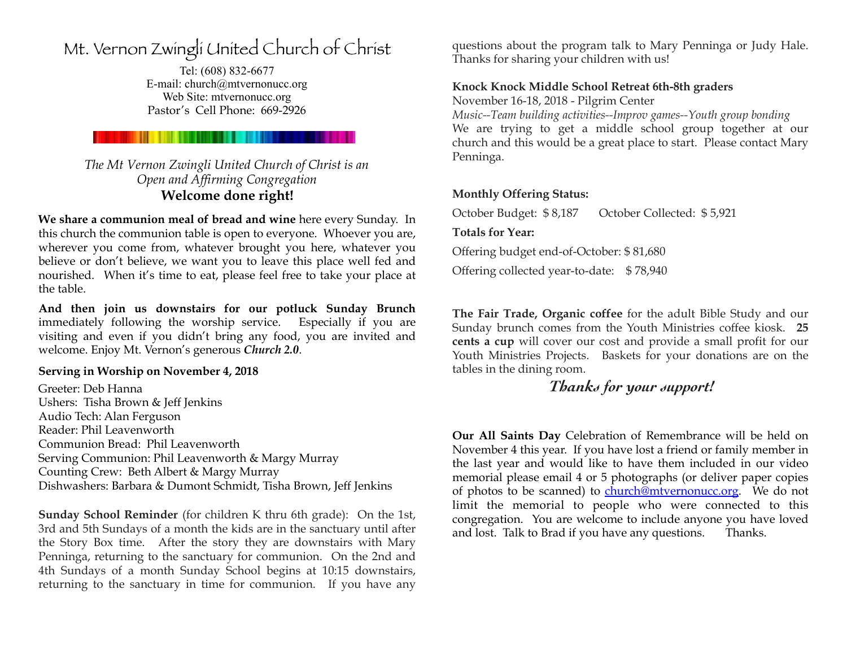# Mt. Vernon Zwingli United Church of Christ

Tel: (608) 832-6677 E-mail: church@mtvernonucc.org Web Site: [mtvernonucc.org](http://mtvernonucc.org) Pastor's Cell Phone: 669-2926

### *The Mt Vernon Zwingli United Church of Christ is an Open and Affirming Congregation*  **Welcome done right!**

**We share a communion meal of bread and wine** here every Sunday. In this church the communion table is open to everyone. Whoever you are, wherever you come from, whatever brought you here, whatever you believe or don't believe, we want you to leave this place well fed and nourished. When it's time to eat, please feel free to take your place at the table.

**And then join us downstairs for our potluck Sunday Brunch**  immediately following the worship service. Especially if you are visiting and even if you didn't bring any food, you are invited and welcome. Enjoy Mt. Vernon's generous *Church 2.0*.

#### **Serving in Worship on November 4, 2018**

Greeter: Deb Hanna Ushers: Tisha Brown & Jeff Jenkins Audio Tech: Alan Ferguson Reader: Phil Leavenworth Communion Bread: Phil Leavenworth Serving Communion: Phil Leavenworth & Margy Murray Counting Crew: Beth Albert & Margy Murray Dishwashers: Barbara & Dumont Schmidt, Tisha Brown, Jeff Jenkins

**Sunday School Reminder** (for children K thru 6th grade): On the 1st, 3rd and 5th Sundays of a month the kids are in the sanctuary until after the Story Box time. After the story they are downstairs with Mary Penninga, returning to the sanctuary for communion. On the 2nd and 4th Sundays of a month Sunday School begins at 10:15 downstairs, returning to the sanctuary in time for communion. If you have any

questions about the program talk to Mary Penninga or Judy Hale. Thanks for sharing your children with us!

#### **Knock Knock Middle School Retreat 6th-8th graders**

November 16-18, 2018 - Pilgrim Center

*Music--Team building activities--Improv games--Youth group bonding* We are trying to get a middle school group together at our church and this would be a great place to start. Please contact Mary Penninga.

#### **Monthly Offering Status:**

October Budget: \$ 8,187 October Collected: \$ 5,921 **Totals for Year:**  Offering budget end-of-October: \$ 81,680 Offering collected year-to-date: \$78,940

**The Fair Trade, Organic coffee** for the adult Bible Study and our Sunday brunch comes from the Youth Ministries coffee kiosk. **25 cents a cup** will cover our cost and provide a small profit for our Youth Ministries Projects. Baskets for your donations are on the tables in the dining room.

# *Thanks for your support!*

**Our All Saints Day** Celebration of Remembrance will be held on November 4 this year. If you have lost a friend or family member in the last year and would like to have them included in our video memorial please email 4 or 5 photographs (or deliver paper copies of photos to be scanned) to [church@mtvernonucc.org.](mailto:church@mtvernonucc.org) We do not limit the memorial to people who were connected to this congregation. You are welcome to include anyone you have loved and lost. Talk to Brad if you have any questions. Thanks.